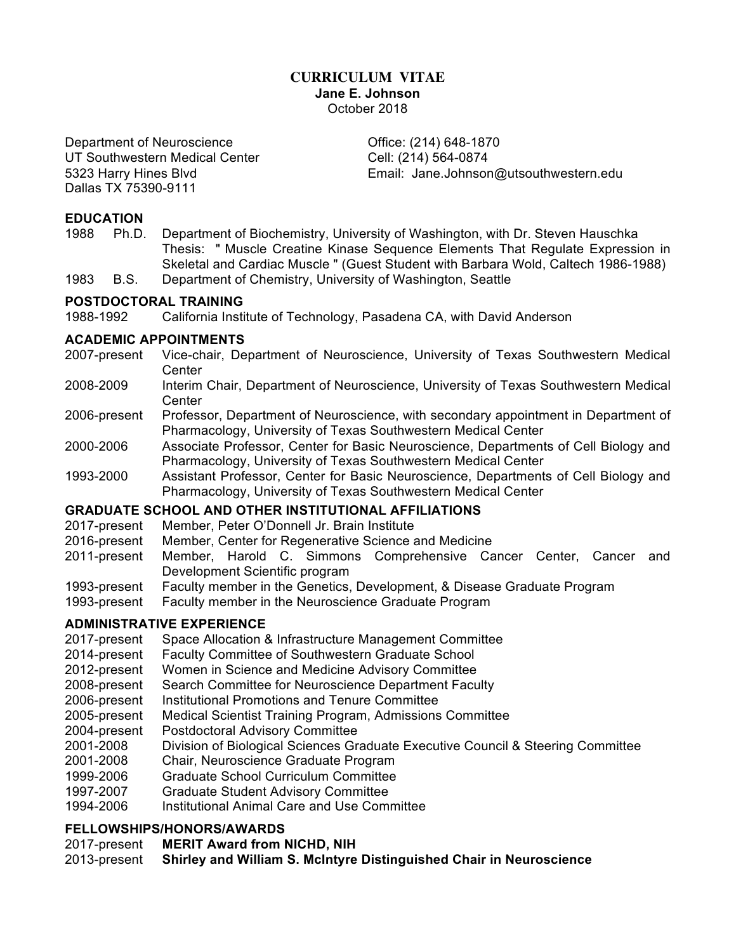# **CURRICULUM VITAE Jane E. Johnson** October 2018

Department of Neuroscience **Container Container Container** Office: (214) 648-1870 UT Southwestern Medical Center Cell: (214) 564-0874 Dallas TX 75390-9111

5323 Harry Hines Blvd Email: Jane.Johnson@utsouthwestern.edu

#### **EDUCATION**

- 1988 Ph.D. Department of Biochemistry, University of Washington, with Dr. Steven Hauschka Thesis: " Muscle Creatine Kinase Sequence Elements That Regulate Expression in Skeletal and Cardiac Muscle " (Guest Student with Barbara Wold, Caltech 1986-1988)
- 1983 B.S. Department of Chemistry, University of Washington, Seattle

#### **POSTDOCTORAL TRAINING**

1988-1992 California Institute of Technology, Pasadena CA, with David Anderson

#### **ACADEMIC APPOINTMENTS**

- 2007-present Vice-chair, Department of Neuroscience, University of Texas Southwestern Medical **Center**
- 2008-2009 Interim Chair, Department of Neuroscience, University of Texas Southwestern Medical **Center**
- 2006-present Professor, Department of Neuroscience, with secondary appointment in Department of Pharmacology, University of Texas Southwestern Medical Center
- 2000-2006 Associate Professor, Center for Basic Neuroscience, Departments of Cell Biology and Pharmacology, University of Texas Southwestern Medical Center
- 1993-2000 Assistant Professor, Center for Basic Neuroscience, Departments of Cell Biology and Pharmacology, University of Texas Southwestern Medical Center

## **GRADUATE SCHOOL AND OTHER INSTITUTIONAL AFFILIATIONS**

- 2017-present Member, Peter O'Donnell Jr. Brain Institute
- 2016-present Member, Center for Regenerative Science and Medicine
- 2011-present Member, Harold C. Simmons Comprehensive Cancer Center, Cancer and Development Scientific program
- 1993-present Faculty member in the Genetics, Development, & Disease Graduate Program
- 1993-present Faculty member in the Neuroscience Graduate Program

## **ADMINISTRATIVE EXPERIENCE**

- 2017-present Space Allocation & Infrastructure Management Committee
- 2014-present Faculty Committee of Southwestern Graduate School
- 2012-present Women in Science and Medicine Advisory Committee
- 2008-present Search Committee for Neuroscience Department Faculty
- 2006-present Institutional Promotions and Tenure Committee
- 2005-present Medical Scientist Training Program, Admissions Committee
- 2004-present Postdoctoral Advisory Committee
- 2001-2008 Division of Biological Sciences Graduate Executive Council & Steering Committee
- 2001-2008 Chair, Neuroscience Graduate Program
- 1999-2006 Graduate School Curriculum Committee
- 1997-2007 Graduate Student Advisory Committee
- 1994-2006 Institutional Animal Care and Use Committee

## **FELLOWSHIPS/HONORS/AWARDS**

- 2017-present **MERIT Award from NICHD, NIH**
- 2013-present **Shirley and William S. McIntyre Distinguished Chair in Neuroscience**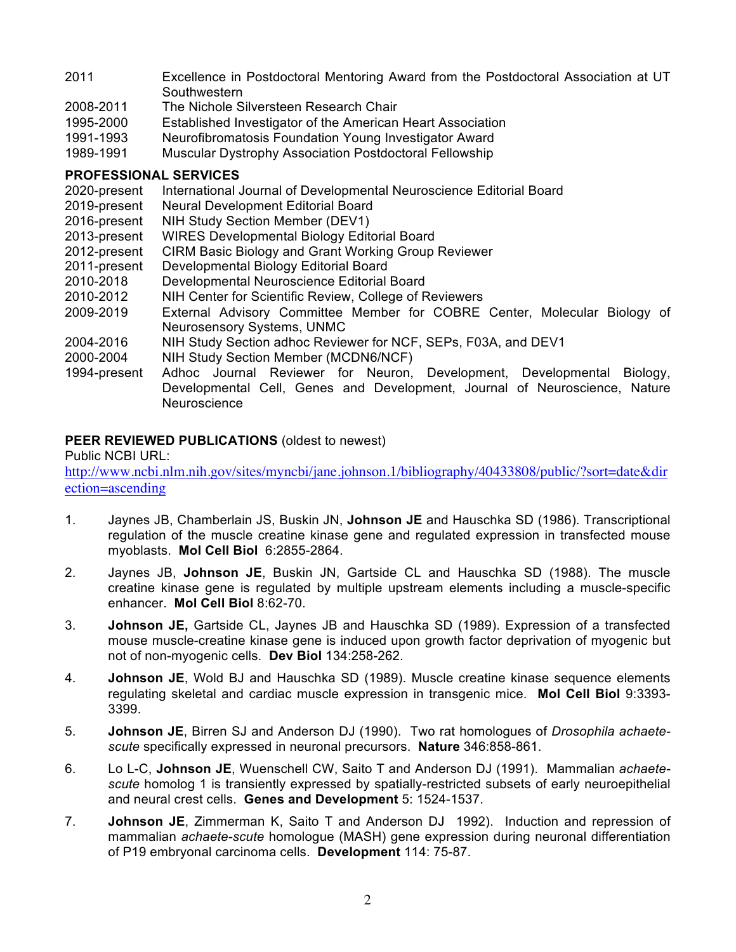- 2011 Excellence in Postdoctoral Mentoring Award from the Postdoctoral Association at UT **Southwestern**
- 2008-2011 The Nichole Silversteen Research Chair
- 1995-2000 Established Investigator of the American Heart Association
- 1991-1993 Neurofibromatosis Foundation Young Investigator Award
- 1989-1991 Muscular Dystrophy Association Postdoctoral Fellowship

## **PROFESSIONAL SERVICES**

- 2020-present International Journal of Developmental Neuroscience Editorial Board
- 2019-present Neural Development Editorial Board
- 2016-present NIH Study Section Member (DEV1)
- 2013-present WIRES Developmental Biology Editorial Board
- 2012-present CIRM Basic Biology and Grant Working Group Reviewer
- 2011-present Developmental Biology Editorial Board
- 2010-2018 Developmental Neuroscience Editorial Board
- 2010-2012 NIH Center for Scientific Review, College of Reviewers
- 2009-2019 External Advisory Committee Member for COBRE Center, Molecular Biology of Neurosensory Systems, UNMC
- 2004-2016 NIH Study Section adhoc Reviewer for NCF, SEPs, F03A, and DEV1
- 2000-2004 NIH Study Section Member (MCDN6/NCF)
- 1994-present Adhoc Journal Reviewer for Neuron, Development, Developmental Biology, Developmental Cell, Genes and Development, Journal of Neuroscience, Nature **Neuroscience**

## **PEER REVIEWED PUBLICATIONS** (oldest to newest)

#### Public NCBI URL:

http://www.ncbi.nlm.nih.gov/sites/myncbi/jane.johnson.1/bibliography/40433808/public/?sort=date&dir ection=ascending

- 1. Jaynes JB, Chamberlain JS, Buskin JN, **Johnson JE** and Hauschka SD (1986). Transcriptional regulation of the muscle creatine kinase gene and regulated expression in transfected mouse myoblasts. **Mol Cell Biol** 6:2855-2864.
- 2. Jaynes JB, **Johnson JE**, Buskin JN, Gartside CL and Hauschka SD (1988). The muscle creatine kinase gene is regulated by multiple upstream elements including a muscle-specific enhancer. **Mol Cell Biol** 8:62-70.
- 3. **Johnson JE,** Gartside CL, Jaynes JB and Hauschka SD (1989). Expression of a transfected mouse muscle-creatine kinase gene is induced upon growth factor deprivation of myogenic but not of non-myogenic cells. **Dev Biol** 134:258-262.
- 4. **Johnson JE**, Wold BJ and Hauschka SD (1989). Muscle creatine kinase sequence elements regulating skeletal and cardiac muscle expression in transgenic mice. **Mol Cell Biol** 9:3393- 3399.
- 5. **Johnson JE**, Birren SJ and Anderson DJ (1990). Two rat homologues of *Drosophila achaetescute* specifically expressed in neuronal precursors. **Nature** 346:858-861.
- 6. Lo L-C, **Johnson JE**, Wuenschell CW, Saito T and Anderson DJ (1991). Mammalian *achaetescute* homolog 1 is transiently expressed by spatially-restricted subsets of early neuroepithelial and neural crest cells. **Genes and Development** 5: 1524-1537.
- 7. **Johnson JE**, Zimmerman K, Saito T and Anderson DJ 1992). Induction and repression of mammalian *achaete-scute* homologue (MASH) gene expression during neuronal differentiation of P19 embryonal carcinoma cells. **Development** 114: 75-87.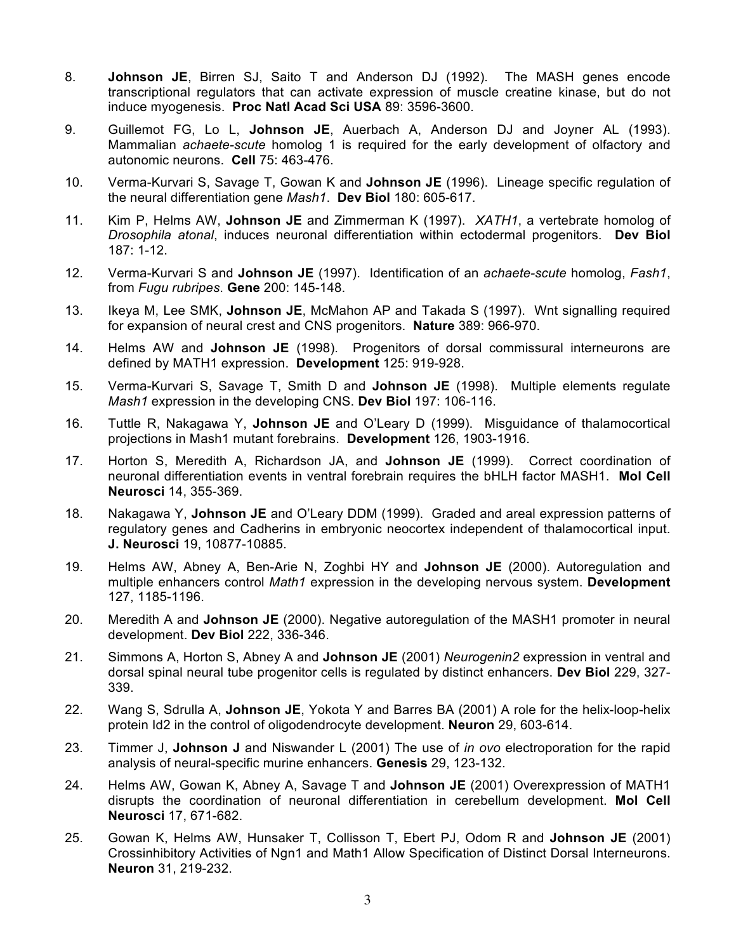- 8. **Johnson JE**, Birren SJ, Saito T and Anderson DJ (1992). The MASH genes encode transcriptional regulators that can activate expression of muscle creatine kinase, but do not induce myogenesis. **Proc Natl Acad Sci USA** 89: 3596-3600.
- 9. Guillemot FG, Lo L, **Johnson JE**, Auerbach A, Anderson DJ and Joyner AL (1993). Mammalian *achaete-scute* homolog 1 is required for the early development of olfactory and autonomic neurons. **Cell** 75: 463-476.
- 10. Verma-Kurvari S, Savage T, Gowan K and **Johnson JE** (1996). Lineage specific regulation of the neural differentiation gene *Mash1*. **Dev Biol** 180: 605-617.
- 11. Kim P, Helms AW, **Johnson JE** and Zimmerman K (1997). *XATH1*, a vertebrate homolog of *Drosophila atonal*, induces neuronal differentiation within ectodermal progenitors. **Dev Biol** 187: 1-12.
- 12. Verma-Kurvari S and **Johnson JE** (1997). Identification of an *achaete-scute* homolog, *Fash1*, from *Fugu rubripes*. **Gene** 200: 145-148.
- 13. Ikeya M, Lee SMK, **Johnson JE**, McMahon AP and Takada S (1997). Wnt signalling required for expansion of neural crest and CNS progenitors. **Nature** 389: 966-970.
- 14. Helms AW and **Johnson JE** (1998). Progenitors of dorsal commissural interneurons are defined by MATH1 expression. **Development** 125: 919-928.
- 15. Verma-Kurvari S, Savage T, Smith D and **Johnson JE** (1998). Multiple elements regulate *Mash1* expression in the developing CNS. **Dev Biol** 197: 106-116.
- 16. Tuttle R, Nakagawa Y, **Johnson JE** and O'Leary D (1999). Misguidance of thalamocortical projections in Mash1 mutant forebrains. **Development** 126, 1903-1916.
- 17. Horton S, Meredith A, Richardson JA, and **Johnson JE** (1999). Correct coordination of neuronal differentiation events in ventral forebrain requires the bHLH factor MASH1. **Mol Cell Neurosci** 14, 355-369.
- 18. Nakagawa Y, **Johnson JE** and O'Leary DDM (1999). Graded and areal expression patterns of regulatory genes and Cadherins in embryonic neocortex independent of thalamocortical input. **J. Neurosci** 19, 10877-10885.
- 19. Helms AW, Abney A, Ben-Arie N, Zoghbi HY and **Johnson JE** (2000). Autoregulation and multiple enhancers control *Math1* expression in the developing nervous system. **Development** 127, 1185-1196.
- 20. Meredith A and **Johnson JE** (2000). Negative autoregulation of the MASH1 promoter in neural development. **Dev Biol** 222, 336-346.
- 21. Simmons A, Horton S, Abney A and **Johnson JE** (2001) *Neurogenin2* expression in ventral and dorsal spinal neural tube progenitor cells is regulated by distinct enhancers. **Dev Biol** 229, 327- 339.
- 22. Wang S, Sdrulla A, **Johnson JE**, Yokota Y and Barres BA (2001) A role for the helix-loop-helix protein Id2 in the control of oligodendrocyte development. **Neuron** 29, 603-614.
- 23. Timmer J, **Johnson J** and Niswander L (2001) The use of *in ovo* electroporation for the rapid analysis of neural-specific murine enhancers. **Genesis** 29, 123-132.
- 24. Helms AW, Gowan K, Abney A, Savage T and **Johnson JE** (2001) Overexpression of MATH1 disrupts the coordination of neuronal differentiation in cerebellum development. **Mol Cell Neurosci** 17, 671-682.
- 25. Gowan K, Helms AW, Hunsaker T, Collisson T, Ebert PJ, Odom R and **Johnson JE** (2001) Crossinhibitory Activities of Ngn1 and Math1 Allow Specification of Distinct Dorsal Interneurons. **Neuron** 31, 219-232.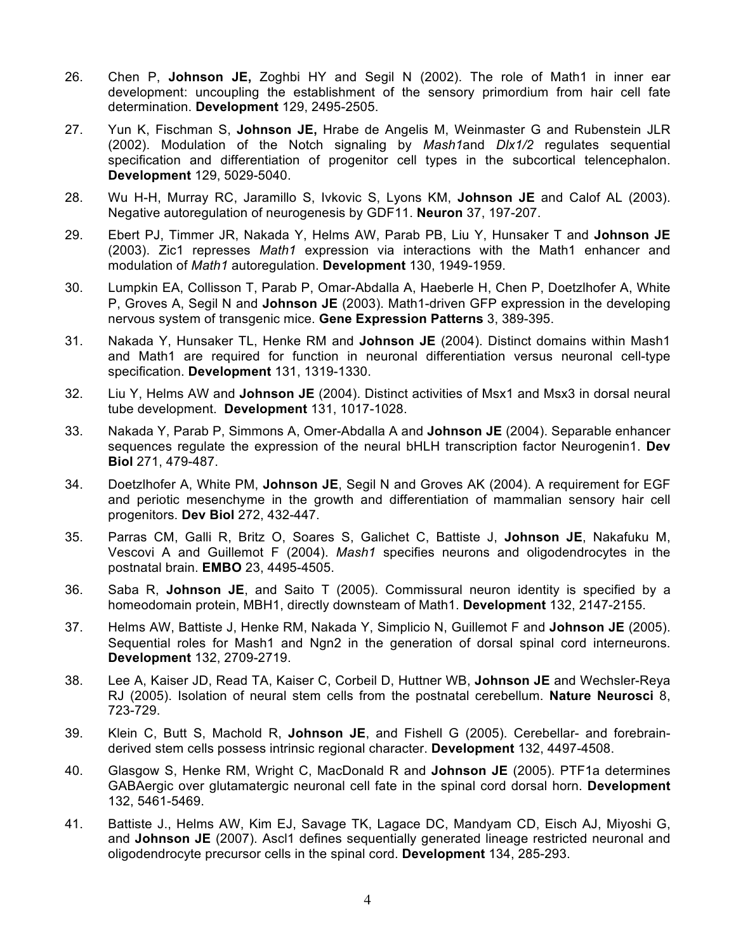- 26. Chen P, **Johnson JE,** Zoghbi HY and Segil N (2002). The role of Math1 in inner ear development: uncoupling the establishment of the sensory primordium from hair cell fate determination. **Development** 129, 2495-2505.
- 27. Yun K, Fischman S, **Johnson JE,** Hrabe de Angelis M, Weinmaster G and Rubenstein JLR (2002). Modulation of the Notch signaling by *Mash1*and *Dlx1/2* regulates sequential specification and differentiation of progenitor cell types in the subcortical telencephalon. **Development** 129, 5029-5040.
- 28. Wu H-H, Murray RC, Jaramillo S, Ivkovic S, Lyons KM, **Johnson JE** and Calof AL (2003). Negative autoregulation of neurogenesis by GDF11. **Neuron** 37, 197-207.
- 29. Ebert PJ, Timmer JR, Nakada Y, Helms AW, Parab PB, Liu Y, Hunsaker T and **Johnson JE** (2003). Zic1 represses *Math1* expression via interactions with the Math1 enhancer and modulation of *Math1* autoregulation. **Development** 130, 1949-1959.
- 30. Lumpkin EA, Collisson T, Parab P, Omar-Abdalla A, Haeberle H, Chen P, Doetzlhofer A, White P, Groves A, Segil N and **Johnson JE** (2003). Math1-driven GFP expression in the developing nervous system of transgenic mice. **Gene Expression Patterns** 3, 389-395.
- 31. Nakada Y, Hunsaker TL, Henke RM and **Johnson JE** (2004). Distinct domains within Mash1 and Math1 are required for function in neuronal differentiation versus neuronal cell-type specification. **Development** 131, 1319-1330.
- 32. Liu Y, Helms AW and **Johnson JE** (2004). Distinct activities of Msx1 and Msx3 in dorsal neural tube development. **Development** 131, 1017-1028.
- 33. Nakada Y, Parab P, Simmons A, Omer-Abdalla A and **Johnson JE** (2004). Separable enhancer sequences regulate the expression of the neural bHLH transcription factor Neurogenin1. **Dev Biol** 271, 479-487.
- 34. Doetzlhofer A, White PM, **Johnson JE**, Segil N and Groves AK (2004). A requirement for EGF and periotic mesenchyme in the growth and differentiation of mammalian sensory hair cell progenitors. **Dev Biol** 272, 432-447.
- 35. Parras CM, Galli R, Britz O, Soares S, Galichet C, Battiste J, **Johnson JE**, Nakafuku M, Vescovi A and Guillemot F (2004). *Mash1* specifies neurons and oligodendrocytes in the postnatal brain. **EMBO** 23, 4495-4505.
- 36. Saba R, **Johnson JE**, and Saito T (2005). Commissural neuron identity is specified by a homeodomain protein, MBH1, directly downsteam of Math1. **Development** 132, 2147-2155.
- 37. Helms AW, Battiste J, Henke RM, Nakada Y, Simplicio N, Guillemot F and **Johnson JE** (2005). Sequential roles for Mash1 and Ngn2 in the generation of dorsal spinal cord interneurons. **Development** 132, 2709-2719.
- 38. Lee A, Kaiser JD, Read TA, Kaiser C, Corbeil D, Huttner WB, **Johnson JE** and Wechsler-Reya RJ (2005). Isolation of neural stem cells from the postnatal cerebellum. **Nature Neurosci** 8, 723-729.
- 39. Klein C, Butt S, Machold R, **Johnson JE**, and Fishell G (2005). Cerebellar- and forebrainderived stem cells possess intrinsic regional character. **Development** 132, 4497-4508.
- 40. Glasgow S, Henke RM, Wright C, MacDonald R and **Johnson JE** (2005). PTF1a determines GABAergic over glutamatergic neuronal cell fate in the spinal cord dorsal horn. **Development** 132, 5461-5469.
- 41. Battiste J., Helms AW, Kim EJ, Savage TK, Lagace DC, Mandyam CD, Eisch AJ, Miyoshi G, and Johnson JE (2007). Ascl1 defines sequentially generated lineage restricted neuronal and oligodendrocyte precursor cells in the spinal cord. **Development** 134, 285-293.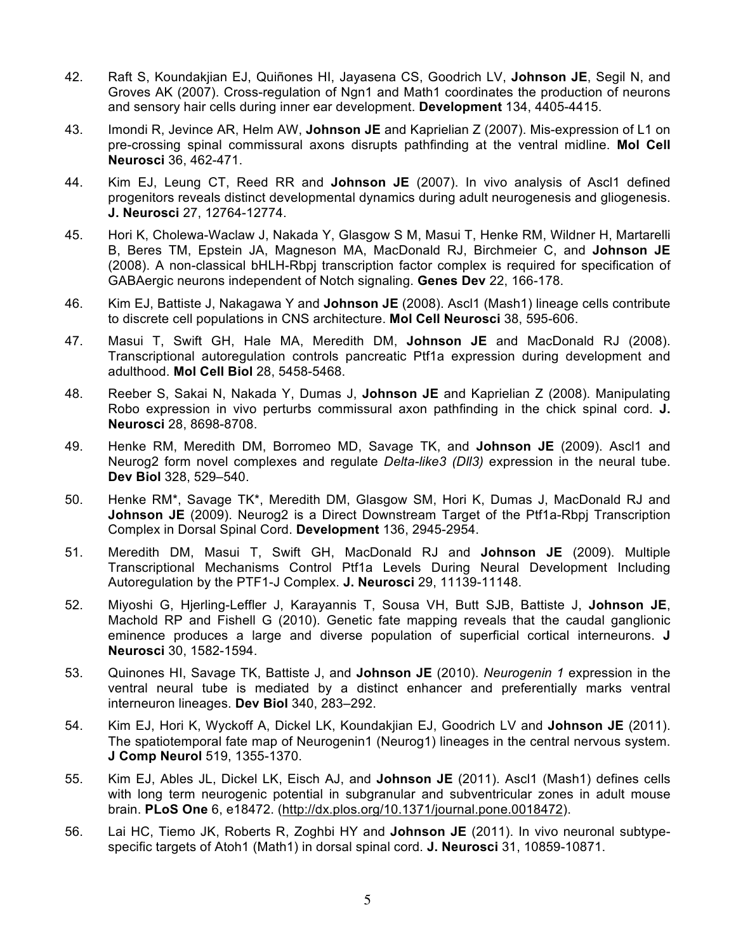- 42. Raft S, Koundakjian EJ, Quiñones HI, Jayasena CS, Goodrich LV, **Johnson JE**, Segil N, and Groves AK (2007). Cross-regulation of Ngn1 and Math1 coordinates the production of neurons and sensory hair cells during inner ear development. **Development** 134, 4405-4415.
- 43. Imondi R, Jevince AR, Helm AW, **Johnson JE** and Kaprielian Z (2007). Mis-expression of L1 on pre-crossing spinal commissural axons disrupts pathfinding at the ventral midline. **Mol Cell Neurosci** 36, 462-471.
- 44. Kim EJ, Leung CT, Reed RR and **Johnson JE** (2007). In vivo analysis of Ascl1 defined progenitors reveals distinct developmental dynamics during adult neurogenesis and gliogenesis. **J. Neurosci** 27, 12764-12774.
- 45. Hori K, Cholewa-Waclaw J, Nakada Y, Glasgow S M, Masui T, Henke RM, Wildner H, Martarelli B, Beres TM, Epstein JA, Magneson MA, MacDonald RJ, Birchmeier C, and **Johnson JE** (2008). A non-classical bHLH-Rbpj transcription factor complex is required for specification of GABAergic neurons independent of Notch signaling. **Genes Dev** 22, 166-178.
- 46. Kim EJ, Battiste J, Nakagawa Y and **Johnson JE** (2008). Ascl1 (Mash1) lineage cells contribute to discrete cell populations in CNS architecture. **Mol Cell Neurosci** 38, 595-606.
- 47. Masui T, Swift GH, Hale MA, Meredith DM, **Johnson JE** and MacDonald RJ (2008). Transcriptional autoregulation controls pancreatic Ptf1a expression during development and adulthood. **Mol Cell Biol** 28, 5458-5468.
- 48. Reeber S, Sakai N, Nakada Y, Dumas J, **Johnson JE** and Kaprielian Z (2008). Manipulating Robo expression in vivo perturbs commissural axon pathfinding in the chick spinal cord. **J. Neurosci** 28, 8698-8708.
- 49. Henke RM, Meredith DM, Borromeo MD, Savage TK, and **Johnson JE** (2009). Ascl1 and Neurog2 form novel complexes and regulate *Delta-like3 (Dll3)* expression in the neural tube. **Dev Biol** 328, 529–540.
- 50. Henke RM\*, Savage TK\*, Meredith DM, Glasgow SM, Hori K, Dumas J, MacDonald RJ and **Johnson JE** (2009). Neurog2 is a Direct Downstream Target of the Ptf1a-Rbpj Transcription Complex in Dorsal Spinal Cord. **Development** 136, 2945-2954.
- 51. Meredith DM, Masui T, Swift GH, MacDonald RJ and **Johnson JE** (2009). Multiple Transcriptional Mechanisms Control Ptf1a Levels During Neural Development Including Autoregulation by the PTF1-J Complex. **J. Neurosci** 29, 11139-11148.
- 52. Miyoshi G, Hjerling-Leffler J, Karayannis T, Sousa VH, Butt SJB, Battiste J, **Johnson JE**, Machold RP and Fishell G (2010). Genetic fate mapping reveals that the caudal ganglionic eminence produces a large and diverse population of superficial cortical interneurons. **J Neurosci** 30, 1582-1594.
- 53. Quinones HI, Savage TK, Battiste J, and **Johnson JE** (2010). *Neurogenin 1* expression in the ventral neural tube is mediated by a distinct enhancer and preferentially marks ventral interneuron lineages. **Dev Biol** 340, 283–292.
- 54. Kim EJ, Hori K, Wyckoff A, Dickel LK, Koundakjian EJ, Goodrich LV and **Johnson JE** (2011). The spatiotemporal fate map of Neurogenin1 (Neurog1) lineages in the central nervous system. **J Comp Neurol** 519, 1355-1370.
- 55. Kim EJ, Ables JL, Dickel LK, Eisch AJ, and **Johnson JE** (2011). Ascl1 (Mash1) defines cells with long term neurogenic potential in subgranular and subventricular zones in adult mouse brain. **PLoS One** 6, e18472. (http://dx.plos.org/10.1371/journal.pone.0018472).
- 56. Lai HC, Tiemo JK, Roberts R, Zoghbi HY and **Johnson JE** (2011). In vivo neuronal subtypespecific targets of Atoh1 (Math1) in dorsal spinal cord. **J. Neurosci** 31, 10859-10871.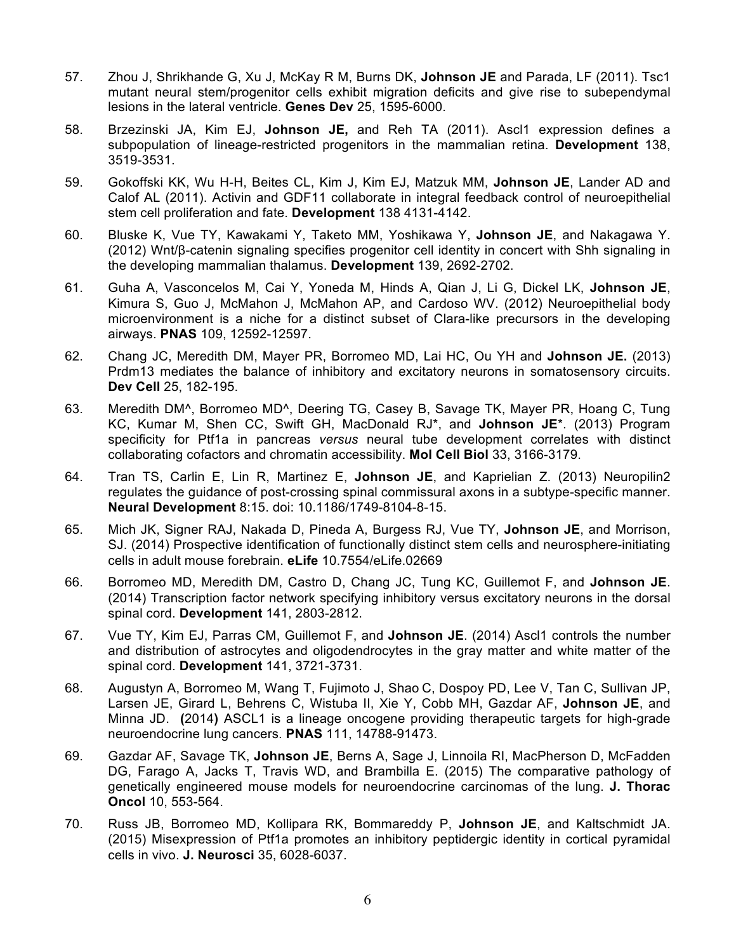- 57. Zhou J, Shrikhande G, Xu J, McKay R M, Burns DK, **Johnson JE** and Parada, LF (2011). Tsc1 mutant neural stem/progenitor cells exhibit migration deficits and give rise to subependymal lesions in the lateral ventricle. **Genes Dev** 25, 1595-6000.
- 58. Brzezinski JA, Kim EJ, **Johnson JE,** and Reh TA (2011). Ascl1 expression defines a subpopulation of lineage-restricted progenitors in the mammalian retina. **Development** 138, 3519-3531.
- 59. Gokoffski KK, Wu H-H, Beites CL, Kim J, Kim EJ, Matzuk MM, **Johnson JE**, Lander AD and Calof AL (2011). Activin and GDF11 collaborate in integral feedback control of neuroepithelial stem cell proliferation and fate. **Development** 138 4131-4142.
- 60. Bluske K, Vue TY, Kawakami Y, Taketo MM, Yoshikawa Y, **Johnson JE**, and Nakagawa Y. (2012) Wnt/β-catenin signaling specifies progenitor cell identity in concert with Shh signaling in the developing mammalian thalamus. **Development** 139, 2692-2702.
- 61. Guha A, Vasconcelos M, Cai Y, Yoneda M, Hinds A, Qian J, Li G, Dickel LK, **Johnson JE**, Kimura S, Guo J, McMahon J, McMahon AP, and Cardoso WV. (2012) Neuroepithelial body microenvironment is a niche for a distinct subset of Clara-like precursors in the developing airways. **PNAS** 109, 12592-12597.
- 62. Chang JC, Meredith DM, Mayer PR, Borromeo MD, Lai HC, Ou YH and **Johnson JE.** (2013) Prdm13 mediates the balance of inhibitory and excitatory neurons in somatosensory circuits. **Dev Cell** 25, 182-195.
- 63. Meredith DM^, Borromeo MD^, Deering TG, Casey B, Savage TK, Mayer PR, Hoang C, Tung KC, Kumar M, Shen CC, Swift GH, MacDonald RJ\*, and **Johnson JE**\*. (2013) Program specificity for Ptf1a in pancreas *versus* neural tube development correlates with distinct collaborating cofactors and chromatin accessibility. **Mol Cell Biol** 33, 3166-3179.
- 64. Tran TS, Carlin E, Lin R, Martinez E, **Johnson JE**, and Kaprielian Z. (2013) Neuropilin2 regulates the guidance of post-crossing spinal commissural axons in a subtype-specific manner. **Neural Development** 8:15. doi: 10.1186/1749-8104-8-15.
- 65. Mich JK, Signer RAJ, Nakada D, Pineda A, Burgess RJ, Vue TY, **Johnson JE**, and Morrison, SJ. (2014) Prospective identification of functionally distinct stem cells and neurosphere-initiating cells in adult mouse forebrain. **eLife** 10.7554/eLife.02669
- 66. Borromeo MD, Meredith DM, Castro D, Chang JC, Tung KC, Guillemot F, and **Johnson JE**. (2014) Transcription factor network specifying inhibitory versus excitatory neurons in the dorsal spinal cord. **Development** 141, 2803-2812.
- 67. Vue TY, Kim EJ, Parras CM, Guillemot F, and **Johnson JE**. (2014) Ascl1 controls the number and distribution of astrocytes and oligodendrocytes in the gray matter and white matter of the spinal cord. **Development** 141, 3721-3731.
- 68. Augustyn A, Borromeo M, Wang T, Fujimoto J, Shao C, Dospoy PD, Lee V, Tan C, Sullivan JP, Larsen JE, Girard L, Behrens C, Wistuba II, Xie Y, Cobb MH, Gazdar AF, **Johnson JE**, and Minna JD. **(**2014**)** ASCL1 is a lineage oncogene providing therapeutic targets for high-grade neuroendocrine lung cancers. **PNAS** 111, 14788-91473.
- 69. Gazdar AF, Savage TK, **Johnson JE**, Berns A, Sage J, Linnoila RI, MacPherson D, McFadden DG, Farago A, Jacks T, Travis WD, and Brambilla E. (2015) The comparative pathology of genetically engineered mouse models for neuroendocrine carcinomas of the lung. **J. Thorac Oncol** 10, 553-564.
- 70. Russ JB, Borromeo MD, Kollipara RK, Bommareddy P, **Johnson JE**, and Kaltschmidt JA. (2015) Misexpression of Ptf1a promotes an inhibitory peptidergic identity in cortical pyramidal cells in vivo. **J. Neurosci** 35, 6028-6037.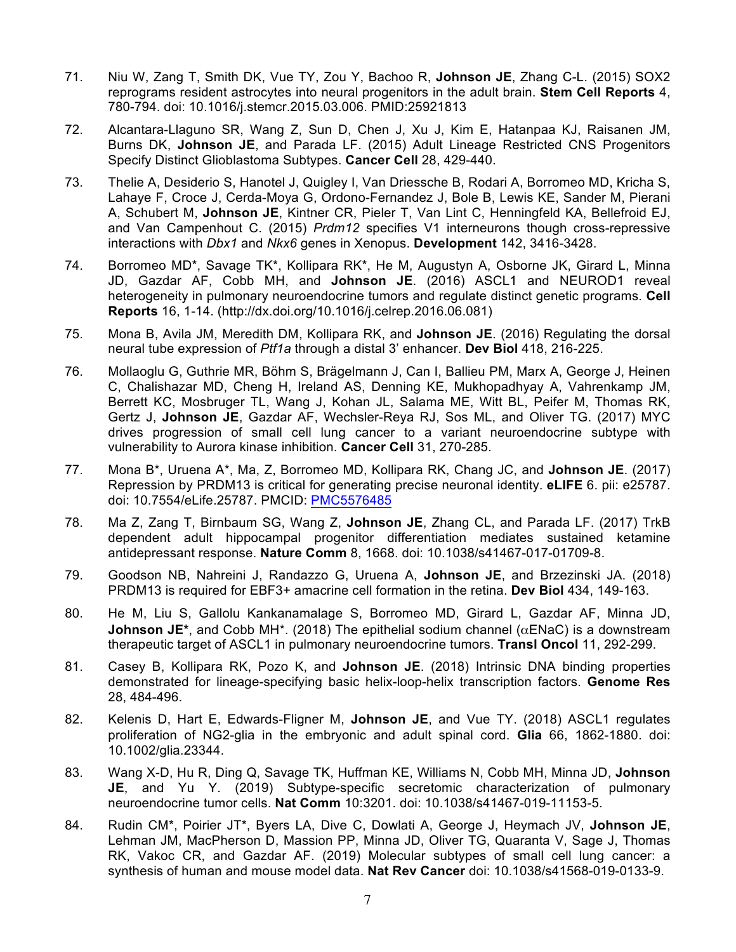- 71. Niu W, Zang T, Smith DK, Vue TY, Zou Y, Bachoo R, **Johnson JE**, Zhang C-L. (2015) SOX2 reprograms resident astrocytes into neural progenitors in the adult brain. **Stem Cell Reports** 4, 780-794. doi: 10.1016/j.stemcr.2015.03.006. PMID:25921813
- 72. Alcantara-Llaguno SR, Wang Z, Sun D, Chen J, Xu J, Kim E, Hatanpaa KJ, Raisanen JM, Burns DK, **Johnson JE**, and Parada LF. (2015) Adult Lineage Restricted CNS Progenitors Specify Distinct Glioblastoma Subtypes. **Cancer Cell** 28, 429-440.
- 73. Thelie A, Desiderio S, Hanotel J, Quigley I, Van Driessche B, Rodari A, Borromeo MD, Kricha S, Lahaye F, Croce J, Cerda-Moya G, Ordono-Fernandez J, Bole B, Lewis KE, Sander M, Pierani A, Schubert M, **Johnson JE**, Kintner CR, Pieler T, Van Lint C, Henningfeld KA, Bellefroid EJ, and Van Campenhout C. (2015) *Prdm12* specifies V1 interneurons though cross-repressive interactions with *Dbx1* and *Nkx6* genes in Xenopus. **Development** 142, 3416-3428.
- 74. Borromeo MD\*, Savage TK\*, Kollipara RK\*, He M, Augustyn A, Osborne JK, Girard L, Minna JD, Gazdar AF, Cobb MH, and **Johnson JE**. (2016) ASCL1 and NEUROD1 reveal heterogeneity in pulmonary neuroendocrine tumors and regulate distinct genetic programs. **Cell Reports** 16, 1-14. (http://dx.doi.org/10.1016/j.celrep.2016.06.081)
- 75. Mona B, Avila JM, Meredith DM, Kollipara RK, and **Johnson JE**. (2016) Regulating the dorsal neural tube expression of *Ptf1a* through a distal 3' enhancer. **Dev Biol** 418, 216-225.
- 76. Mollaoglu G, Guthrie MR, Böhm S, Brägelmann J, Can I, Ballieu PM, Marx A, George J, Heinen C, Chalishazar MD, Cheng H, Ireland AS, Denning KE, Mukhopadhyay A, Vahrenkamp JM, Berrett KC, Mosbruger TL, Wang J, Kohan JL, Salama ME, Witt BL, Peifer M, Thomas RK, Gertz J, **Johnson JE**, Gazdar AF, Wechsler-Reya RJ, Sos ML, and Oliver TG. (2017) MYC drives progression of small cell lung cancer to a variant neuroendocrine subtype with vulnerability to Aurora kinase inhibition. **Cancer Cell** 31, 270-285.
- 77. Mona B\*, Uruena A\*, Ma, Z, Borromeo MD, Kollipara RK, Chang JC, and **Johnson JE**. (2017) Repression by PRDM13 is critical for generating precise neuronal identity. **eLIFE** 6. pii: e25787. doi: 10.7554/eLife.25787. PMCID: PMC5576485
- 78. Ma Z, Zang T, Birnbaum SG, Wang Z, **Johnson JE**, Zhang CL, and Parada LF. (2017) TrkB dependent adult hippocampal progenitor differentiation mediates sustained ketamine antidepressant response. **Nature Comm** 8, 1668. doi: 10.1038/s41467-017-01709-8.
- 79. Goodson NB, Nahreini J, Randazzo G, Uruena A, **Johnson JE**, and Brzezinski JA. (2018) PRDM13 is required for EBF3+ amacrine cell formation in the retina. **Dev Biol** 434, 149-163.
- 80. He M, Liu S, Gallolu Kankanamalage S, Borromeo MD, Girard L, Gazdar AF, Minna JD, **Johnson JE**\*, and Cobb MH<sup>\*</sup>. (2018) The epithelial sodium channel ( $\alpha$ ENaC) is a downstream therapeutic target of ASCL1 in pulmonary neuroendocrine tumors. **Transl Oncol** 11, 292-299.
- 81. Casey B, Kollipara RK, Pozo K, and **Johnson JE**. (2018) Intrinsic DNA binding properties demonstrated for lineage-specifying basic helix-loop-helix transcription factors. **Genome Res** 28, 484-496.
- 82. Kelenis D, Hart E, Edwards-Fligner M, **Johnson JE**, and Vue TY. (2018) ASCL1 regulates proliferation of NG2-glia in the embryonic and adult spinal cord. **Glia** 66, 1862-1880. doi: 10.1002/glia.23344.
- 83. Wang X-D, Hu R, Ding Q, Savage TK, Huffman KE, Williams N, Cobb MH, Minna JD, **Johnson JE**, and Yu Y. (2019) Subtype-specific secretomic characterization of pulmonary neuroendocrine tumor cells. **Nat Comm** 10:3201. doi: 10.1038/s41467-019-11153-5.
- 84. Rudin CM\*, Poirier JT\*, Byers LA, Dive C, Dowlati A, George J, Heymach JV, **Johnson JE**, Lehman JM, MacPherson D, Massion PP, Minna JD, Oliver TG, Quaranta V, Sage J, Thomas RK, Vakoc CR, and Gazdar AF. (2019) Molecular subtypes of small cell lung cancer: a synthesis of human and mouse model data. **Nat Rev Cancer** doi: 10.1038/s41568-019-0133-9.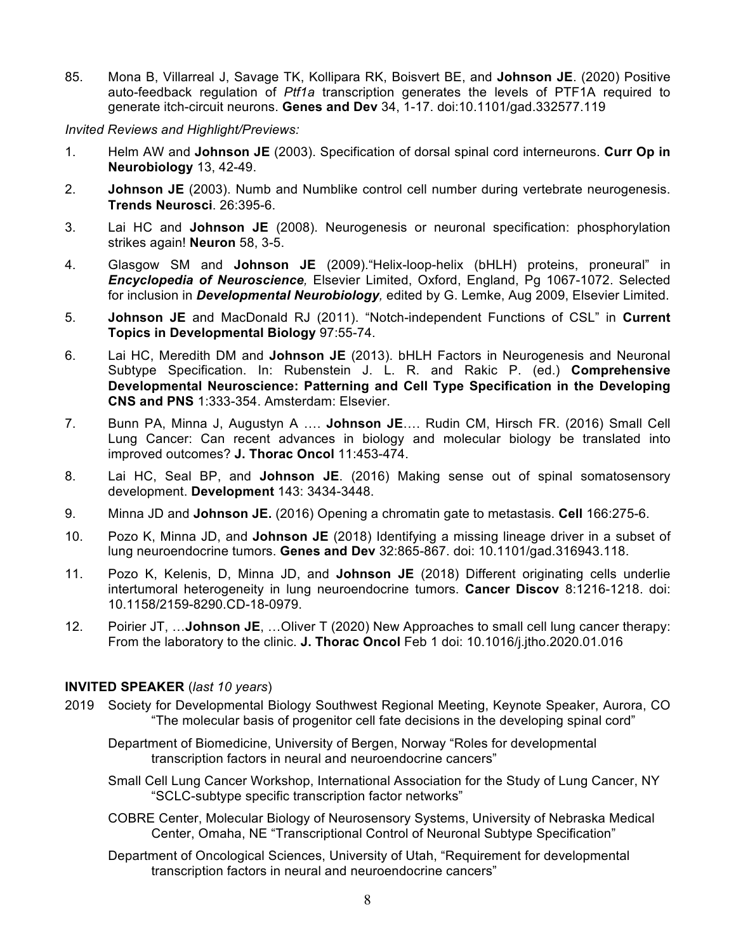85. Mona B, Villarreal J, Savage TK, Kollipara RK, Boisvert BE, and **Johnson JE**. (2020) Positive auto-feedback regulation of *Ptf1a* transcription generates the levels of PTF1A required to generate itch-circuit neurons. **Genes and Dev** 34, 1-17. doi:10.1101/gad.332577.119

*Invited Reviews and Highlight/Previews:*

- 1. Helm AW and **Johnson JE** (2003). Specification of dorsal spinal cord interneurons. **Curr Op in Neurobiology** 13, 42-49.
- 2. **Johnson JE** (2003). Numb and Numblike control cell number during vertebrate neurogenesis. **Trends Neurosci**. 26:395-6.
- 3. Lai HC and **Johnson JE** (2008). Neurogenesis or neuronal specification: phosphorylation strikes again! **Neuron** 58, 3-5.
- 4. Glasgow SM and **Johnson JE** (2009)."Helix-loop-helix (bHLH) proteins, proneural" in *Encyclopedia of Neuroscience,* Elsevier Limited, Oxford, England, Pg 1067-1072. Selected for inclusion in *Developmental Neurobiology,* edited by G. Lemke, Aug 2009, Elsevier Limited.
- 5. **Johnson JE** and MacDonald RJ (2011). "Notch-independent Functions of CSL" in **Current Topics in Developmental Biology** 97:55-74.
- 6. Lai HC, Meredith DM and **Johnson JE** (2013). bHLH Factors in Neurogenesis and Neuronal Subtype Specification. In: Rubenstein J. L. R. and Rakic P. (ed.) **Comprehensive Developmental Neuroscience: Patterning and Cell Type Specification in the Developing CNS and PNS** 1:333-354. Amsterdam: Elsevier.
- 7. Bunn PA, Minna J, Augustyn A …. **Johnson JE**…. Rudin CM, Hirsch FR. (2016) Small Cell Lung Cancer: Can recent advances in biology and molecular biology be translated into improved outcomes? **J. Thorac Oncol** 11:453-474.
- 8. Lai HC, Seal BP, and **Johnson JE**. (2016) Making sense out of spinal somatosensory development. **Development** 143: 3434-3448.
- 9. Minna JD and **Johnson JE.** (2016) Opening a chromatin gate to metastasis. **Cell** 166:275-6.
- 10. Pozo K, Minna JD, and **Johnson JE** (2018) Identifying a missing lineage driver in a subset of lung neuroendocrine tumors. **Genes and Dev** 32:865-867. doi: 10.1101/gad.316943.118.
- 11. Pozo K, Kelenis, D, Minna JD, and **Johnson JE** (2018) Different originating cells underlie intertumoral heterogeneity in lung neuroendocrine tumors. **Cancer Discov** 8:1216-1218. doi: 10.1158/2159-8290.CD-18-0979.
- 12. Poirier JT, …**Johnson JE**, …Oliver T (2020) New Approaches to small cell lung cancer therapy: From the laboratory to the clinic. **J. Thorac Oncol** Feb 1 doi: 10.1016/j.jtho.2020.01.016

## **INVITED SPEAKER** (*last 10 years*)

- 2019 Society for Developmental Biology Southwest Regional Meeting, Keynote Speaker, Aurora, CO "The molecular basis of progenitor cell fate decisions in the developing spinal cord"
	- Department of Biomedicine, University of Bergen, Norway "Roles for developmental transcription factors in neural and neuroendocrine cancers"
	- Small Cell Lung Cancer Workshop, International Association for the Study of Lung Cancer, NY "SCLC-subtype specific transcription factor networks"
	- COBRE Center, Molecular Biology of Neurosensory Systems, University of Nebraska Medical Center, Omaha, NE "Transcriptional Control of Neuronal Subtype Specification"
	- Department of Oncological Sciences, University of Utah, "Requirement for developmental transcription factors in neural and neuroendocrine cancers"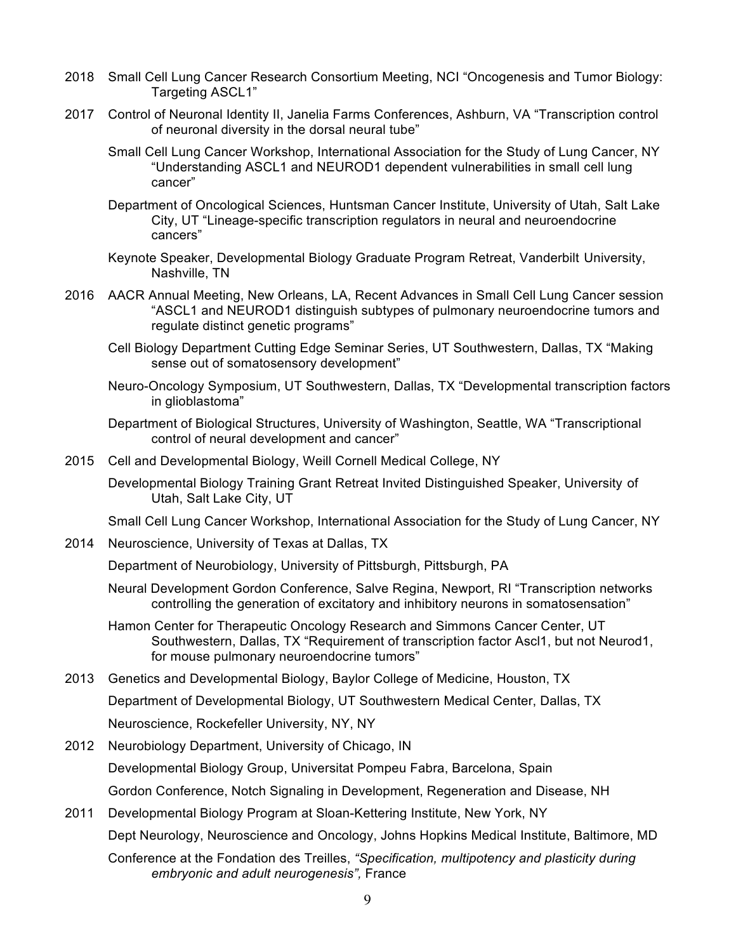- 2018 Small Cell Lung Cancer Research Consortium Meeting, NCI "Oncogenesis and Tumor Biology: Targeting ASCL1"
- 2017 Control of Neuronal Identity II, Janelia Farms Conferences, Ashburn, VA "Transcription control of neuronal diversity in the dorsal neural tube"
	- Small Cell Lung Cancer Workshop, International Association for the Study of Lung Cancer, NY "Understanding ASCL1 and NEUROD1 dependent vulnerabilities in small cell lung cancer"
	- Department of Oncological Sciences, Huntsman Cancer Institute, University of Utah, Salt Lake City, UT "Lineage-specific transcription regulators in neural and neuroendocrine cancers"
	- Keynote Speaker, Developmental Biology Graduate Program Retreat, Vanderbilt University, Nashville, TN
- 2016 AACR Annual Meeting, New Orleans, LA, Recent Advances in Small Cell Lung Cancer session "ASCL1 and NEUROD1 distinguish subtypes of pulmonary neuroendocrine tumors and regulate distinct genetic programs"
	- Cell Biology Department Cutting Edge Seminar Series, UT Southwestern, Dallas, TX "Making sense out of somatosensory development"
	- Neuro-Oncology Symposium, UT Southwestern, Dallas, TX "Developmental transcription factors in glioblastoma"
	- Department of Biological Structures, University of Washington, Seattle, WA "Transcriptional control of neural development and cancer"
- 2015 Cell and Developmental Biology, Weill Cornell Medical College, NY
	- Developmental Biology Training Grant Retreat Invited Distinguished Speaker, University of Utah, Salt Lake City, UT

Small Cell Lung Cancer Workshop, International Association for the Study of Lung Cancer, NY

2014 Neuroscience, University of Texas at Dallas, TX

Department of Neurobiology, University of Pittsburgh, Pittsburgh, PA

- Neural Development Gordon Conference, Salve Regina, Newport, RI "Transcription networks controlling the generation of excitatory and inhibitory neurons in somatosensation"
- Hamon Center for Therapeutic Oncology Research and Simmons Cancer Center, UT Southwestern, Dallas, TX "Requirement of transcription factor Ascl1, but not Neurod1, for mouse pulmonary neuroendocrine tumors"
- 2013 Genetics and Developmental Biology, Baylor College of Medicine, Houston, TX Department of Developmental Biology, UT Southwestern Medical Center, Dallas, TX Neuroscience, Rockefeller University, NY, NY
- 2012 Neurobiology Department, University of Chicago, IN Developmental Biology Group, Universitat Pompeu Fabra, Barcelona, Spain Gordon Conference, Notch Signaling in Development, Regeneration and Disease, NH
- 2011 Developmental Biology Program at Sloan-Kettering Institute, New York, NY

Dept Neurology, Neuroscience and Oncology, Johns Hopkins Medical Institute, Baltimore, MD

Conference at the Fondation des Treilles, *"Specification, multipotency and plasticity during embryonic and adult neurogenesis",* France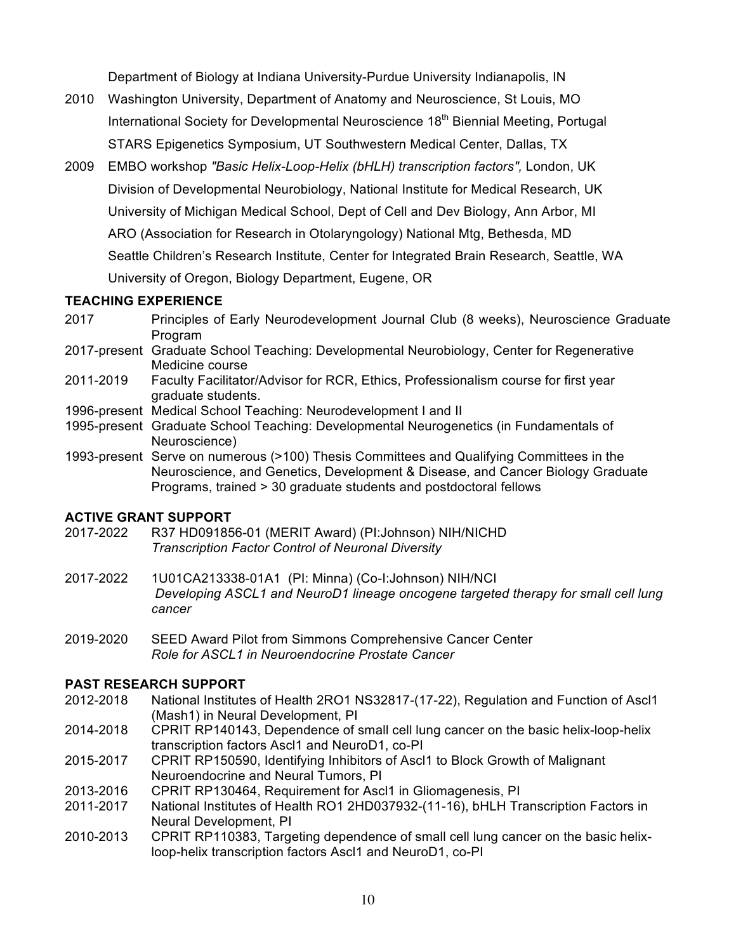Department of Biology at Indiana University-Purdue University Indianapolis, IN

- 2010 Washington University, Department of Anatomy and Neuroscience, St Louis, MO International Society for Developmental Neuroscience 18<sup>th</sup> Biennial Meeting, Portugal STARS Epigenetics Symposium, UT Southwestern Medical Center, Dallas, TX
- 2009 EMBO workshop *"Basic Helix-Loop-Helix (bHLH) transcription factors",* London, UK Division of Developmental Neurobiology, National Institute for Medical Research, UK University of Michigan Medical School, Dept of Cell and Dev Biology, Ann Arbor, MI ARO (Association for Research in Otolaryngology) National Mtg, Bethesda, MD Seattle Children's Research Institute, Center for Integrated Brain Research, Seattle, WA University of Oregon, Biology Department, Eugene, OR

## **TEACHING EXPERIENCE**

- 2017 Principles of Early Neurodevelopment Journal Club (8 weeks), Neuroscience Graduate Program
- 2017-present Graduate School Teaching: Developmental Neurobiology, Center for Regenerative Medicine course
- 2011-2019 Faculty Facilitator/Advisor for RCR, Ethics, Professionalism course for first year graduate students.
- 1996-present Medical School Teaching: Neurodevelopment I and II
- 1995-present Graduate School Teaching: Developmental Neurogenetics (in Fundamentals of Neuroscience)
- 1993-present Serve on numerous (>100) Thesis Committees and Qualifying Committees in the Neuroscience, and Genetics, Development & Disease, and Cancer Biology Graduate Programs, trained > 30 graduate students and postdoctoral fellows

## **ACTIVE GRANT SUPPORT**

- 2017-2022 R37 HD091856-01 (MERIT Award) (PI:Johnson) NIH/NICHD *Transcription Factor Control of Neuronal Diversity*
- 2017-2022 1U01CA213338-01A1 (PI: Minna) (Co-I:Johnson) NIH/NCI *Developing ASCL1 and NeuroD1 lineage oncogene targeted therapy for small cell lung cancer*
- 2019-2020 SEED Award Pilot from Simmons Comprehensive Cancer Center *Role for ASCL1 in Neuroendocrine Prostate Cancer*

## **PAST RESEARCH SUPPORT**

- 2012-2018 National Institutes of Health 2RO1 NS32817-(17-22), Regulation and Function of Ascl1 (Mash1) in Neural Development, PI
- 2014-2018 CPRIT RP140143, Dependence of small cell lung cancer on the basic helix-loop-helix transcription factors Ascl1 and NeuroD1, co-PI
- 2015-2017 CPRIT RP150590, Identifying Inhibitors of Ascl1 to Block Growth of Malignant Neuroendocrine and Neural Tumors, PI
- 2013-2016 CPRIT RP130464, Requirement for Ascl1 in Gliomagenesis, PI
- 2011-2017 National Institutes of Health RO1 2HD037932-(11-16), bHLH Transcription Factors in Neural Development, PI
- 2010-2013 CPRIT RP110383, Targeting dependence of small cell lung cancer on the basic helixloop-helix transcription factors Ascl1 and NeuroD1, co-PI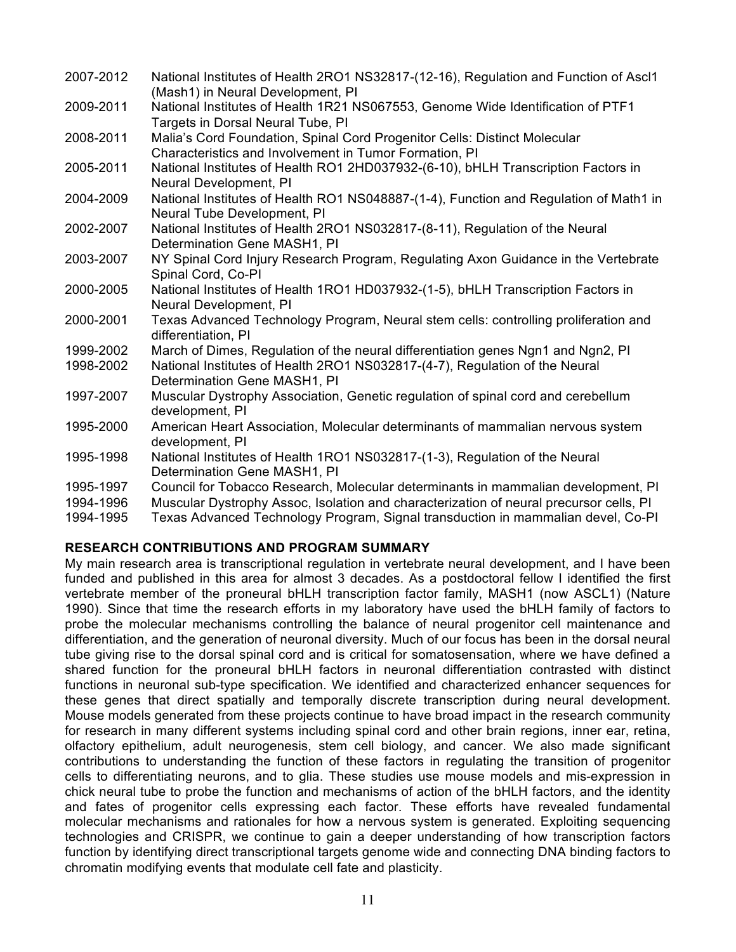| 2007-2012 | National Institutes of Health 2RO1 NS32817-(12-16), Regulation and Function of Ascl1<br>(Mash1) in Neural Development, PI           |
|-----------|-------------------------------------------------------------------------------------------------------------------------------------|
| 2009-2011 | National Institutes of Health 1R21 NS067553, Genome Wide Identification of PTF1<br>Targets in Dorsal Neural Tube, PI                |
| 2008-2011 | Malia's Cord Foundation, Spinal Cord Progenitor Cells: Distinct Molecular<br>Characteristics and Involvement in Tumor Formation, PI |
| 2005-2011 | National Institutes of Health RO1 2HD037932-(6-10), bHLH Transcription Factors in<br>Neural Development, PI                         |
| 2004-2009 | National Institutes of Health RO1 NS048887-(1-4), Function and Regulation of Math1 in<br>Neural Tube Development, PI                |
| 2002-2007 | National Institutes of Health 2RO1 NS032817-(8-11), Regulation of the Neural<br>Determination Gene MASH1, PI                        |
| 2003-2007 | NY Spinal Cord Injury Research Program, Regulating Axon Guidance in the Vertebrate<br>Spinal Cord, Co-PI                            |
| 2000-2005 | National Institutes of Health 1RO1 HD037932-(1-5), bHLH Transcription Factors in<br>Neural Development, PI                          |
| 2000-2001 | Texas Advanced Technology Program, Neural stem cells: controlling proliferation and<br>differentiation, PI                          |
| 1999-2002 | March of Dimes, Regulation of the neural differentiation genes Ngn1 and Ngn2, PI                                                    |
| 1998-2002 | National Institutes of Health 2RO1 NS032817-(4-7), Regulation of the Neural<br>Determination Gene MASH1, PI                         |
| 1997-2007 | Muscular Dystrophy Association, Genetic regulation of spinal cord and cerebellum<br>development, PI                                 |
| 1995-2000 | American Heart Association, Molecular determinants of mammalian nervous system<br>development, PI                                   |
| 1995-1998 | National Institutes of Health 1RO1 NS032817-(1-3), Regulation of the Neural<br>Determination Gene MASH1, PI                         |
| 1995-1997 | Council for Tobacco Research, Molecular determinants in mammalian development, PI                                                   |
| 1994-1996 | Muscular Dystrophy Assoc, Isolation and characterization of neural precursor cells, PI                                              |
| 1994-1995 | Texas Advanced Technology Program, Signal transduction in mammalian devel, Co-PI                                                    |

## **RESEARCH CONTRIBUTIONS AND PROGRAM SUMMARY**

My main research area is transcriptional regulation in vertebrate neural development, and I have been funded and published in this area for almost 3 decades. As a postdoctoral fellow I identified the first vertebrate member of the proneural bHLH transcription factor family, MASH1 (now ASCL1) (Nature 1990). Since that time the research efforts in my laboratory have used the bHLH family of factors to probe the molecular mechanisms controlling the balance of neural progenitor cell maintenance and differentiation, and the generation of neuronal diversity. Much of our focus has been in the dorsal neural tube giving rise to the dorsal spinal cord and is critical for somatosensation, where we have defined a shared function for the proneural bHLH factors in neuronal differentiation contrasted with distinct functions in neuronal sub-type specification. We identified and characterized enhancer sequences for these genes that direct spatially and temporally discrete transcription during neural development. Mouse models generated from these projects continue to have broad impact in the research community for research in many different systems including spinal cord and other brain regions, inner ear, retina, olfactory epithelium, adult neurogenesis, stem cell biology, and cancer. We also made significant contributions to understanding the function of these factors in regulating the transition of progenitor cells to differentiating neurons, and to glia. These studies use mouse models and mis-expression in chick neural tube to probe the function and mechanisms of action of the bHLH factors, and the identity and fates of progenitor cells expressing each factor. These efforts have revealed fundamental molecular mechanisms and rationales for how a nervous system is generated. Exploiting sequencing technologies and CRISPR, we continue to gain a deeper understanding of how transcription factors function by identifying direct transcriptional targets genome wide and connecting DNA binding factors to chromatin modifying events that modulate cell fate and plasticity.